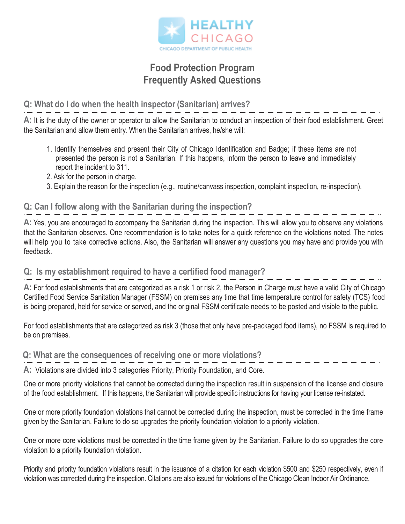

### **Food Protection Program Frequently Asked Questions**

### **Q: What do I do when the health inspector (Sanitarian) arrives?**

**A:** It is the duty of the owner or operator to allow the Sanitarian to conduct an inspection of their food establishment. Greet the Sanitarian and allow them entry. When the Sanitarian arrives, he/she will:

- 1. Identify themselves and present their City of Chicago Identification and Badge; if these items are not presented the person is not a Sanitarian. If this happens, inform the person to leave and immediately report the incident to 311.
- 2. Ask for the person in charge.
- 3. Explain the reason for the inspection (e.g., routine/canvass inspection, complaint inspection, re-inspection).

#### **Q: Can I follow along with the Sanitarian during the inspection?**

**A:** Yes, you are encouraged to accompany the Sanitarian during the inspection. This will allow you to observe any violations that the Sanitarian observes. One recommendation is to take notes for a quick reference on the violations noted. The notes will help you to take corrective actions. Also, the Sanitarian will answer any questions you may have and provide you with feedback.

#### **Q: Is my establishment required to have a certified food manager?**

**A:** For food establishments that are categorized as a risk 1 or risk 2, the Person in Charge must have a valid City of Chicago Certified Food Service Sanitation Manager (FSSM) on premises any time that time temperature control for safety (TCS) food is being prepared, held for service or served, and the original FSSM certificate needs to be posted and visible to the public.

For food establishments that are categorized as risk 3 (those that only have pre-packaged food items), no FSSM is required to be on premises.

### **Q: What are the consequences of receiving one or more violations?**

**A:** Violations are divided into 3 categories Priority, Priority Foundation, and Core.

One or more priority violations that cannot be corrected during the inspection result in suspension of the license and closure of the food establishment. If this happens, the Sanitarian will provide specific instructions for having your license re-instated.

One or more priority foundation violations that cannot be corrected during the inspection, must be corrected in the time frame given by the Sanitarian. Failure to do so upgrades the priority foundation violation to a priority violation.

One or more core violations must be corrected in the time frame given by the Sanitarian. Failure to do so upgrades the core violation to a priority foundation violation.

Priority and priority foundation violations result in the issuance of a citation for each violation \$500 and \$250 respectively, even if violation was corrected during the inspection. Citations are also issued for violations of the Chicago Clean Indoor Air Ordinance.